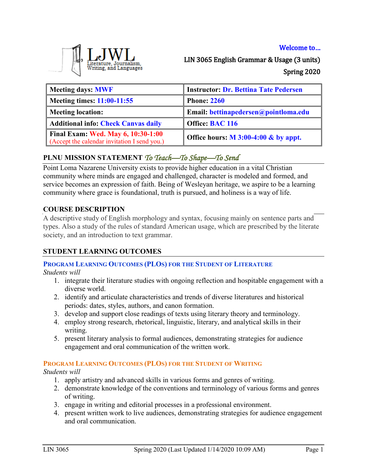### Welcome to…



LIN 3065 English Grammar & Usage (3 units) Spring 2020

| Meeting days: MWF                                                                         | <b>Instructor: Dr. Bettina Tate Pedersen</b> |
|-------------------------------------------------------------------------------------------|----------------------------------------------|
| Meeting times: $11:00-11:55$                                                              | <b>Phone: 2260</b>                           |
| <b>Meeting location:</b>                                                                  | Email: bettinapedersen@pointloma.edu         |
| Additional info: Check Canvas daily                                                       | Office: BAC 116                              |
| <b>Final Exam: Wed. May 6, 10:30-1:00</b><br>(Accept the calendar invitation I send you.) | Office hours: M 3:00-4:00 & by appt.         |

# **PLNU MISSION STATEMENT** *To Teach—To Shape—To Send*

Point Loma Nazarene University exists to provide higher education in a vital Christian community where minds are engaged and challenged, character is modeled and formed, and service becomes an expression of faith. Being of Wesleyan heritage, we aspire to be a learning community where grace is foundational, truth is pursued, and holiness is a way of life.

## **COURSE DESCRIPTION**

A descriptive study of English morphology and syntax, focusing mainly on sentence parts and types. Also a study of the rules of standard American usage, which are prescribed by the literate society, and an introduction to text grammar.

## **STUDENT LEARNING OUTCOMES**

## **PROGRAM LEARNING OUTCOMES (PLOS) FOR THE STUDENT OF LITERATURE**

*Students will*

- 1. integrate their literature studies with ongoing reflection and hospitable engagement with a diverse world.
- 2. identify and articulate characteristics and trends of diverse literatures and historical periods: dates, styles, authors, and canon formation.
- 3. develop and support close readings of texts using literary theory and terminology.
- 4. employ strong research, rhetorical, linguistic, literary, and analytical skills in their writing.
- 5. present literary analysis to formal audiences, demonstrating strategies for audience engagement and oral communication of the written work.

### **PROGRAM LEARNING OUTCOMES (PLOS) FOR THE STUDENT OF WRITING**

*Students will*

- 1. apply artistry and advanced skills in various forms and genres of writing.
- 2. demonstrate knowledge of the conventions and terminology of various forms and genres of writing.
- 3. engage in writing and editorial processes in a professional environment.
- 4. present written work to live audiences, demonstrating strategies for audience engagement and oral communication.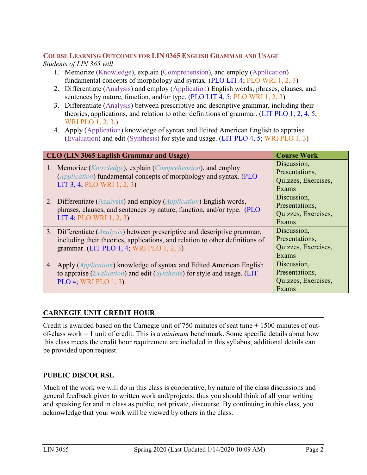#### **COURSE LEARNING OUTCOMES FOR LIN 0365 ENGLISH GRAMMAR AND USAGE** *Students of LIN 365 will*

- 1. Memorize (Knowledge), explain (Comprehension), and employ (Application) fundamental concepts of morphology and syntax. (PLO LIT 4; PLO WRI 1, 2, 3)
- 2. Differentiate (Analysis) and employ (Application) English words, phrases, clauses, and sentences by nature, function, and/or type. (PLO LIT 4, 5; PLO WRI 1, 2, 3)
- 3. Differentiate (Analysis) between prescriptive and descriptive grammar, including their theories, applications, and relation to other definitions of grammar. (LIT PLO 1, 2, 4, 5; WRI PLO 1, 2, 3,)
- 4. Apply (Application) knowledge of syntax and Edited American English to appraise (Evaluation) and edit (Synthesis) for style and usage. (LIT PLO 4, 5; WRI PLO 1, 3)

| <b>CLO (LIN 3065 English Grammar and Usage)</b>                                                                                                                                                                | <b>Course Work</b>                                            |  |  |
|----------------------------------------------------------------------------------------------------------------------------------------------------------------------------------------------------------------|---------------------------------------------------------------|--|--|
| 1. Memorize ( <i>Knowledge</i> ), explain ( <i>Comprehension</i> ), and employ<br><i>(Application)</i> fundamental concepts of morphology and syntax. <i>(PLO)</i><br>LIT 3, 4; PLO WRI 1, 2, 3)               | Discussion,<br>Presentations,<br>Quizzes, Exercises,<br>Exams |  |  |
| 2. Differentiate (Analysis) and employ (Application) English words,<br>phrases, clauses, and sentences by nature, function, and/or type. (PLO<br>LIT 4; PLO WRI 1, 2, 3)                                       | Discussion,<br>Presentations,<br>Quizzes, Exercises,<br>Exams |  |  |
| 3. Differentiate ( <i>Analysis</i> ) between prescriptive and descriptive grammar,<br>including their theories, applications, and relation to other definitions of<br>grammar. (LIT PLO 1, 4; WRI PLO 1, 2, 3) | Discussion,<br>Presentations,<br>Quizzes, Exercises,<br>Exams |  |  |
| 4. Apply ( <i>Application</i> ) knowledge of syntax and Edited American English<br>to appraise (Evaluation) and edit (Synthesis) for style and usage. (LIT<br>PLO 4; WRI PLO $1, 3$ )                          | Discussion,<br>Presentations,<br>Quizzes, Exercises,<br>Exams |  |  |

# **CARNEGIE UNIT CREDIT HOUR**

Credit is awarded based on the Carnegie unit of 750 minutes of seat time + 1500 minutes of outof-class work = 1 unit of credit. This is a *minimum* benchmark. Some specific details about how this class meets the credit hour requirement are included in this syllabus; additional details can be provided upon request.

## **PUBLIC DISCOURSE**

Much of the work we will do in this class is cooperative, by nature of the class discussions and general feedback given to written work and/projects; thus you should think of all your writing and speaking for and in class as public, not private, discourse. By continuing in this class, you acknowledge that your work will be viewed by others in the class.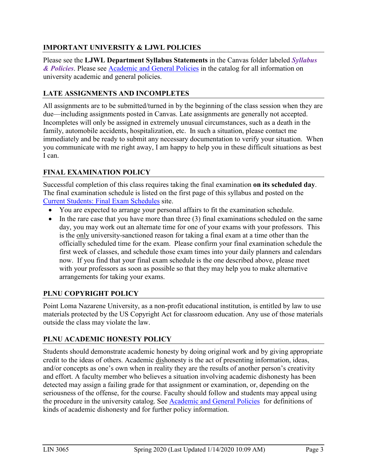# **IMPORTANT UNIVERSITY & LJWL POLICIES**

Please see the **LJWL Department Syllabus Statements** in the Canvas folder labeled *Syllabus & Policies*. Please see [Academic and General Policies](https://www.metopera.org/about/auditions/national-council-auditions/regional-contact-info/) in the catalog for all information on university academic and general policies.

# **LATE ASSIGNMENTS AND INCOMPLETES**

All assignments are to be submitted/turned in by the beginning of the class session when they are due—including assignments posted in Canvas. Late assignments are generally not accepted. Incompletes will only be assigned in extremely unusual circumstances, such as a death in the family, automobile accidents, hospitalization, etc. In such a situation, please contact me immediately and be ready to submit any necessary documentation to verify your situation. When you communicate with me right away, I am happy to help you in these difficult situations as best I can.

# **FINAL EXAMINATION POLICY**

Successful completion of this class requires taking the final examination **on its scheduled day**. The final examination schedule is listed on the first page of this syllabus and posted on the [Current Students: Final Exam Schedules](https://www.pointloma.edu/current-students) site.

- You are expected to arrange your personal affairs to fit the examination schedule.
- In the rare case that you have more than three (3) final examinations scheduled on the same day, you may work out an alternate time for one of your exams with your professors. This is the only university-sanctioned reason for taking a final exam at a time other than the officially scheduled time for the exam. Please confirm your final examination schedule the first week of classes, and schedule those exam times into your daily planners and calendars now. If you find that your final exam schedule is the one described above, please meet with your professors as soon as possible so that they may help you to make alternative arrangements for taking your exams.

# **PLNU COPYRIGHT POLICY**

Point Loma Nazarene University, as a non-profit educational institution, is entitled by law to use materials protected by the US Copyright Act for classroom education. Any use of those materials outside the class may violate the law.

## **PLNU ACADEMIC HONESTY POLICY**

Students should demonstrate academic honesty by doing original work and by giving appropriate credit to the ideas of others. Academic dishonesty is the act of presenting information, ideas, and/or concepts as one's own when in reality they are the results of another person's creativity and effort. A faculty member who believes a situation involving academic dishonesty has been detected may assign a failing grade for that assignment or examination, or, depending on the seriousness of the offense, for the course. Faculty should follow and students may appeal using the procedure in the university catalog. See [Academic and General Policies](https://www.metopera.org/about/auditions/national-council-auditions/regional-contact-info/) for definitions of kinds of academic dishonesty and for further policy information.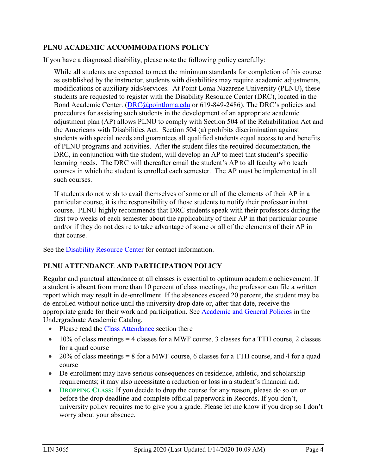### **PLNU ACADEMIC ACCOMMODATIONS POLICY**

If you have a diagnosed disability, please note the following policy carefully:

While all students are expected to meet the minimum standards for completion of this course as established by the instructor, students with disabilities may require academic adjustments, modifications or auxiliary aids/services. At Point Loma Nazarene University (PLNU), these students are requested to register with the Disability Resource Center (DRC), located in the Bond Academic Center. [\(DRC@pointloma.edu](mailto:DRC@pointloma.edu) or 619-849-2486). The DRC's policies and procedures for assisting such students in the development of an appropriate academic adjustment plan (AP) allows PLNU to comply with Section 504 of the Rehabilitation Act and the Americans with Disabilities Act. Section 504 (a) prohibits discrimination against students with special needs and guarantees all qualified students equal access to and benefits of PLNU programs and activities. After the student files the required documentation, the DRC, in conjunction with the student, will develop an AP to meet that student's specific learning needs. The DRC will thereafter email the student's AP to all faculty who teach courses in which the student is enrolled each semester. The AP must be implemented in all such courses.

If students do not wish to avail themselves of some or all of the elements of their AP in a particular course, it is the responsibility of those students to notify their professor in that course. PLNU highly recommends that DRC students speak with their professors during the first two weeks of each semester about the applicability of their AP in that particular course and/or if they do not desire to take advantage of some or all of the elements of their AP in that course.

See the [Disability Resource Center](http://www.pointloma.edu/experience/offices/administrative-offices/academic-advising-office/disability-resource-center) for contact information.

### **PLNU ATTENDANCE AND PARTICIPATION POLICY**

Regular and punctual attendance at all classes is essential to optimum academic achievement. If a student is absent from more than 10 percent of class meetings, the professor can file a written report which may result in de-enrollment. If the absences exceed 20 percent, the student may be de-enrolled without notice until the university drop date or, after that date, receive the appropriate grade for their work and participation. See [Academic and General Policies](https://www.metopera.org/about/auditions/national-council-auditions/regional-contact-info/) in the Undergraduate Academic Catalog.

- Please read the [Class Attendance](https://catalog.pointloma.edu/content.php?catoid=41&navoid=2435#Class_Attendance) section there
- 10% of class meetings  $=$  4 classes for a MWF course, 3 classes for a TTH course, 2 classes for a quad course
- 20% of class meetings = 8 for a MWF course, 6 classes for a TTH course, and 4 for a quad course
- De-enrollment may have serious consequences on residence, athletic, and scholarship requirements; it may also necessitate a reduction or loss in a student's financial aid.
- **DROPPING CLASS:** If you decide to drop the course for any reason, please do so on or before the drop deadline and complete official paperwork in Records. If you don't, university policy requires me to give you a grade. Please let me know if you drop so I don't worry about your absence.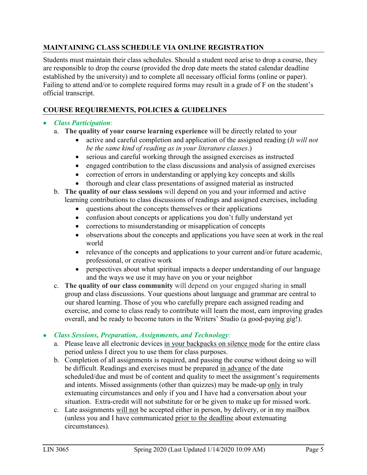## **MAINTAINING CLASS SCHEDULE VIA ONLINE REGISTRATION**

Students must maintain their class schedules. Should a student need arise to drop a course, they are responsible to drop the course (provided the drop date meets the stated calendar deadline established by the university) and to complete all necessary official forms (online or paper). Failing to attend and/or to complete required forms may result in a grade of F on the student's official transcript.

# **COURSE REQUIREMENTS, POLICIES & GUIDELINES**

## • *Class Participation*:

- a. **The quality of your course learning experience** will be directly related to your
	- active and careful completion and application of the assigned reading (*It will not be the same kind of reading as in your literature classes*.)
	- serious and careful working through the assigned exercises as instructed
	- engaged contribution to the class discussions and analysis of assigned exercises
	- correction of errors in understanding or applying key concepts and skills
	- thorough and clear class presentations of assigned material as instructed
- b. **The quality of our class sessions** will depend on you and your informed and active learning contributions to class discussions of readings and assigned exercises, including
	- questions about the concepts themselves or their applications
	- confusion about concepts or applications you don't fully understand yet
	- corrections to misunderstanding or misapplication of concepts
	- observations about the concepts and applications you have seen at work in the real world
	- relevance of the concepts and applications to your current and/or future academic, professional, or creative work
	- perspectives about what spiritual impacts a deeper understanding of our language and the ways we use it may have on you or your neighbor
- c. **The quality of our class community** will depend on your engaged sharing in small group and class discussions. Your questions about language and grammar are central to our shared learning. Those of you who carefully prepare each assigned reading and exercise, and come to class ready to contribute will learn the most, earn improving grades overall, and be ready to become tutors in the Writers' Studio (a good-paying gig!).

### • *Class Sessions, Preparation, Assignments, and Technology*:

- a. Please leave all electronic devices in your backpacks on silence mode for the entire class period unless I direct you to use them for class purposes.
- b. Completion of all assignments is required, and passing the course without doing so will be difficult. Readings and exercises must be prepared in advance of the date scheduled/due and must be of content and quality to meet the assignment's requirements and intents. Missed assignments (other than quizzes) may be made-up only in truly extenuating circumstances and only if you and I have had a conversation about your situation. Extra-credit will not substitute for or be given to make up for missed work.
- c. Late assignments will not be accepted either in person, by delivery, or in my mailbox (unless you and I have communicated prior to the deadline about extenuating circumstances).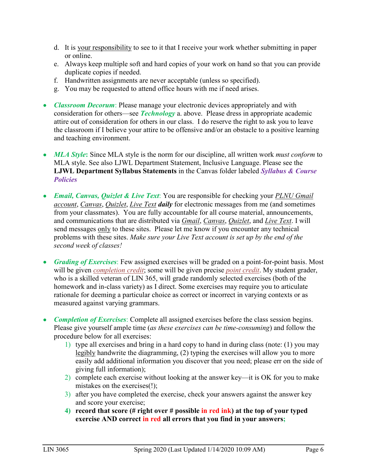- d. It is your responsibility to see to it that I receive your work whether submitting in paper or online.
- e. Always keep multiple soft and hard copies of your work on hand so that you can provide duplicate copies if needed.
- f. Handwritten assignments are never acceptable (unless so specified).
- g. You may be requested to attend office hours with me if need arises.
- *Classroom Decorum*: Please manage your electronic devices appropriately and with consideration for others—see *Technology* a. above. Please dress in appropriate academic attire out of consideration for others in our class. I do reserve the right to ask you to leave the classroom if I believe your attire to be offensive and/or an obstacle to a positive learning and teaching environment.
- *MLA Style*: Since MLA style is the norm for our discipline, all written work *must conform* to MLA style. See also LJWL Department Statement, Inclusive Language. Please see the **LJWL Department Syllabus Statements** in the Canvas folder labeled *Syllabus & Course Policies*
- *Email, Canvas, Quizlet & Live Text*: You are responsible for checking your *PLNU Gmail account*, *Canvas*, *Quizlet*, *Live Text daily* for electronic messages from me (and sometimes from your classmates). You are fully accountable for all course material, announcements, and communications that are distributed via *Gmail*, *Canvas*, *Quizlet*, and *Live Text*. I will send messages only to these sites. Please let me know if you encounter any technical problems with these sites. *Make sure your Live Text account is set up by the end of the second week of classes!*
- *Grading of Exercises*: Few assigned exercises will be graded on a point-for-point basis. Most will be given *completion credit*; some will be given precise *point credit*. My student grader, who is a skilled veteran of LIN 365, will grade randomly selected exercises (both of the homework and in-class variety) as I direct. Some exercises may require you to articulate rationale for deeming a particular choice as correct or incorrect in varying contexts or as measured against varying grammars.
- *Completion of Exercises*: Complete all assigned exercises before the class session begins. Please give yourself ample time (*as these exercises can be time-consuming*) and follow the procedure below for all exercises:
	- 1) type all exercises and bring in a hard copy to hand in during class (note: (1) you may legibly handwrite the diagramming, (2) typing the exercises will allow you to more easily add additional information you discover that you need; please err on the side of giving full information);
	- 2) complete each exercise without looking at the answer key—it is OK for you to make mistakes on the exercises(!);
	- 3) after you have completed the exercise, check your answers against the answer key and score your exercise;
	- **4) record that score (# right over # possible in red ink) at the top of your typed exercise AND correct in red all errors that you find in your answers;**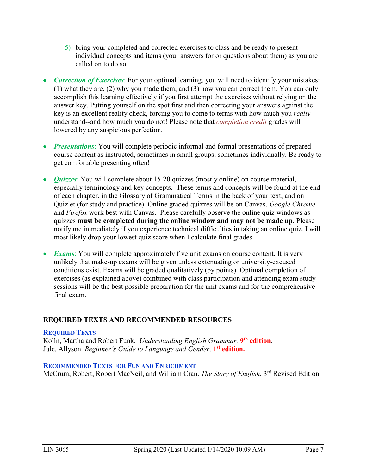- 5) bring your completed and corrected exercises to class and be ready to present individual concepts and items (your answers for or questions about them) as you are called on to do so.
- *Correction of Exercises*: For your optimal learning, you will need to identify your mistakes: (1) what they are, (2) why you made them, and (3) how you can correct them. You can only accomplish this learning effectively if you first attempt the exercises without relying on the answer key. Putting yourself on the spot first and then correcting your answers against the key is an excellent reality check, forcing you to come to terms with how much you *really* understand--and how much you do not! Please note that *completion credit* grades will lowered by any suspicious perfection.
- *Presentations*: You will complete periodic informal and formal presentations of prepared course content as instructed, sometimes in small groups, sometimes individually. Be ready to get comfortable presenting often!
- *Quizzes*: You will complete about 15-20 quizzes (mostly online) on course material, especially terminology and key concepts. These terms and concepts will be found at the end of each chapter, in the Glossary of Grammatical Terms in the back of your text, and on Quizlet (for study and practice). Online graded quizzes will be on Canvas. *Google Chrome* and *Firefox* work best with Canvas. Please carefully observe the online quiz windows as quizzes **must be completed during the online window and may not be made up**. Please notify me immediately if you experience technical difficulties in taking an online quiz. I will most likely drop your lowest quiz score when I calculate final grades.
- *Exams*: You will complete approximately five unit exams on course content. It is very unlikely that make-up exams will be given unless extenuating or university-excused conditions exist. Exams will be graded qualitatively (by points). Optimal completion of exercises (as explained above) combined with class participation and attending exam study sessions will be the best possible preparation for the unit exams and for the comprehensive final exam.

### **REQUIRED TEXTS AND RECOMMENDED RESOURCES**

#### **REQUIRED TEXTS**

Kolln, Martha and Robert Funk. *Understanding English Grammar.* **9th edition**. Jule, Allyson. *Beginner's Guide to Language and Gender*. **1st edition.**

### **RECOMMENDED TEXTS FOR FUN AND ENRICHMENT**

McCrum, Robert, Robert MacNeil, and William Cran. *The Story of English.* 3rd Revised Edition.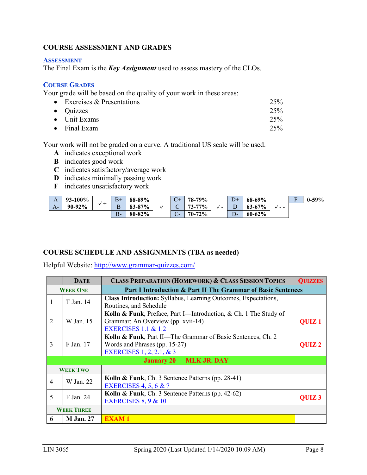### **COURSE ASSESSMENT AND GRADES**

#### **ASSESSMENT**

The Final Exam is the *Key Assignment* used to assess mastery of the CLOs.

#### **COURSE GRADES**

Your grade will be based on the quality of your work in these areas:

| • Exercises $&$ Presentations | 25% |
|-------------------------------|-----|
| $\bullet$ Quizzes             | 25% |
| $\bullet$ Unit Exams          | 25% |
| $\bullet$ Final Exam          | 25% |

Your work will not be graded on a curve. A traditional US scale will be used.

- **A** indicates exceptional work
- **B** indicates good work
- **C** indicates satisfactory/average work
- **D** indicates minimally passing work
- **F** indicates unsatisfactory work

| A    | $3 - 100\%$ |              | $B+$              | 88-89%      | $C_{+}$<br>$\sim$ | 79%<br>$78-$ |                               | $D+$                    | 68-69%      |       | T. | $0-59%$ |
|------|-------------|--------------|-------------------|-------------|-------------------|--------------|-------------------------------|-------------------------|-------------|-------|----|---------|
| $A-$ | 90-92%      | $\checkmark$ | $\mathbf{r}$<br>в | 83-87%      | ◡                 | 77%<br>72    | v<br>$\overline{\phantom{0}}$ | $\mathbf{\bar{r}}$<br>◡ | $63 - 67%$  | v - - |    |         |
|      |             |              | В-                | $80 - 82\%$ | $\sim$<br>$\sim$  | 72%<br>$70-$ |                               | سر                      | $60 - 62\%$ |       |    |         |

#### **COURSE SCHEDULE AND ASSIGNMENTS (TBA as needed)**

Helpful Website:<http://www.grammar-quizzes.com/>

|                                                                                 | <b>DATE</b>                     | <b>CLASS PREPARATION (HOMEWORK) &amp; CLASS SESSION TOPICS</b>        | <b>QUIZZES</b> |  |  |
|---------------------------------------------------------------------------------|---------------------------------|-----------------------------------------------------------------------|----------------|--|--|
| Part I Introduction & Part II The Grammar of Basic Sentences<br><b>WEEK ONE</b> |                                 |                                                                       |                |  |  |
| T Jan. 14                                                                       |                                 | <b>Class Introduction:</b> Syllabus, Learning Outcomes, Expectations, |                |  |  |
|                                                                                 |                                 | Routines, and Schedule                                                |                |  |  |
|                                                                                 |                                 | Kolln & Funk, Preface, Part I—Introduction, & Ch. 1 The Study of      |                |  |  |
| 2                                                                               | W Jan. 15                       | Grammar: An Overview (pp. xvii-14)                                    | <b>QUIZ1</b>   |  |  |
|                                                                                 |                                 | <b>EXERCISES 1.1 &amp; 1.2</b>                                        |                |  |  |
|                                                                                 |                                 | Kolln & Funk, Part II—The Grammar of Basic Sentences, Ch. 2           |                |  |  |
| 3                                                                               | F Jan. 17                       | Words and Phrases (pp. 15-27)                                         | <b>OUIZ2</b>   |  |  |
|                                                                                 |                                 | <b>EXERCISES</b> 1, 2, 2.1, & 3                                       |                |  |  |
|                                                                                 | <b>January 20 – MLK JR. DAY</b> |                                                                       |                |  |  |
| <b>WEEK TWO</b>                                                                 |                                 |                                                                       |                |  |  |
| $\overline{4}$                                                                  | W Jan. 22                       | Kolln & Funk, Ch. 3 Sentence Patterns (pp. 28-41)                     |                |  |  |
|                                                                                 |                                 | <b>EXERCISES 4, 5, 6 &amp; 7</b>                                      |                |  |  |
|                                                                                 |                                 | Kolln & Funk, Ch. 3 Sentence Patterns (pp. 42-62)                     |                |  |  |
| 5                                                                               | F Jan. 24                       | EXERCISES $8, 9 & 10$                                                 | <b>OUIZ3</b>   |  |  |
|                                                                                 | <b>WEEK THREE</b>               |                                                                       |                |  |  |
| 6                                                                               | <b>M</b> Jan. 27                | <b>EXAM1</b>                                                          |                |  |  |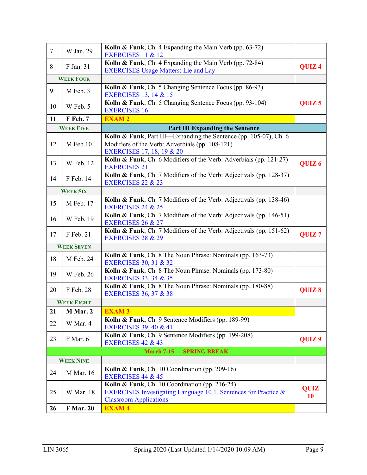| $\overline{7}$ | W Jan. 29         | Kolln & Funk, Ch. 4 Expanding the Main Verb (pp. 63-72)<br><b>EXERCISES 11 &amp; 12</b>                                                            |                   |
|----------------|-------------------|----------------------------------------------------------------------------------------------------------------------------------------------------|-------------------|
| 8              | F Jan. 31         | Kolln & Funk, Ch. 4 Expanding the Main Verb (pp. 72-84)<br><b>EXERCISES Usage Matters: Lie and Lay</b>                                             | QUIZ <sub>4</sub> |
|                | <b>WEEK FOUR</b>  |                                                                                                                                                    |                   |
| 9              | M Feb. 3          | Kolln & Funk, Ch. 5 Changing Sentence Focus (pp. 86-93)<br><b>EXERCISES 13, 14 &amp; 15</b>                                                        |                   |
| 10             | W Feb. 5          | Kolln & Funk, Ch. 5 Changing Sentence Focus (pp. 93-104)<br><b>EXERCISES 16</b>                                                                    | QUIZ <sub>5</sub> |
| 11             | F Feb. 7          | <b>EXAM2</b>                                                                                                                                       |                   |
|                | <b>WEEK FIVE</b>  | <b>Part III Expanding the Sentence</b>                                                                                                             |                   |
| 12             | M Feb.10          | Kolln & Funk, Part III—Expanding the Sentence (pp. 105-07), Ch. 6<br>Modifiers of the Verb: Adverbials (pp. 108-121)<br>EXERCISES 17, 18, 19 & 20  |                   |
| 13             | W Feb. 12         | Kolln & Funk, Ch. 6 Modifiers of the Verb: Adverbials (pp. 121-27)<br><b>EXERCISES 21</b>                                                          | QUIZ <sub>6</sub> |
| 14             | F Feb. 14         | Kolln & Funk, Ch. 7 Modifiers of the Verb: Adjectivals (pp. 128-37)<br><b>EXERCISES 22 &amp; 23</b>                                                |                   |
|                | <b>WEEK SIX</b>   |                                                                                                                                                    |                   |
| 15             | M Feb. 17         | Kolln & Funk, Ch. 7 Modifiers of the Verb: Adjectivals (pp. 138-46)<br><b>EXERCISES 24 &amp; 25</b>                                                |                   |
| 16             | W Feb. 19         | Kolln & Funk, Ch. 7 Modifiers of the Verb: Adjectivals (pp. 146-51)<br><b>EXERCISES 26 &amp; 27</b>                                                |                   |
| 17             | F Feb. 21         | Kolln & Funk, Ch. 7 Modifiers of the Verb: Adjectivals (pp. 151-62)<br><b>EXERCISES 28 &amp; 29</b>                                                | QUIZ <sub>7</sub> |
|                | <b>WEEK SEVEN</b> |                                                                                                                                                    |                   |
| 18             | M Feb. 24         | Kolln & Funk, Ch. 8 The Noun Phrase: Nominals (pp. 163-73)<br><b>EXERCISES 30, 31 &amp; 32</b>                                                     |                   |
| 19             | W Feb. 26         | Kolln & Funk, Ch. 8 The Noun Phrase: Nominals (pp. 173-80)<br><b>EXERCISES 33, 34 &amp; 35</b>                                                     |                   |
| 20             | F Feb. 28         | Kolln & Funk, Ch. 8 The Noun Phrase: Nominals (pp. 180-88)<br><b>EXERCISES 36, 37 &amp; 38</b>                                                     | QUIZ 8            |
|                | <b>WEEK EIGHT</b> |                                                                                                                                                    |                   |
| 21             | M Mar. 2          | <b>EXAM3</b>                                                                                                                                       |                   |
| 22             | W Mar. 4          | Kolln & Funk, Ch. 9 Sentence Modifiers (pp. 189-99)<br><b>EXERCISES 39, 40 &amp; 41</b>                                                            |                   |
| 23             | F Mar. 6          | Kolln & Funk, Ch. 9 Sentence Modifiers (pp. 199-208)<br><b>EXERCISES 42 &amp; 43</b>                                                               | QUIZ <sub>9</sub> |
|                |                   | <b>March 7-15 - SPRING BREAK</b>                                                                                                                   |                   |
|                | <b>WEEK NINE</b>  |                                                                                                                                                    |                   |
| 24             | M Mar. 16         | Kolln & Funk, Ch. 10 Coordination (pp. 209-16)<br><b>EXERCISES 44 &amp; 45</b>                                                                     |                   |
| 25             | W Mar. 18         | Kolln & Funk, Ch. 10 Coordination (pp. 216-24)<br>EXERCISES Investigating Language 10.1, Sentences for Practice &<br><b>Classroom Applications</b> | QUIZ<br>10        |
| 26             | <b>F</b> Mar. 20  | <b>EXAM4</b>                                                                                                                                       |                   |